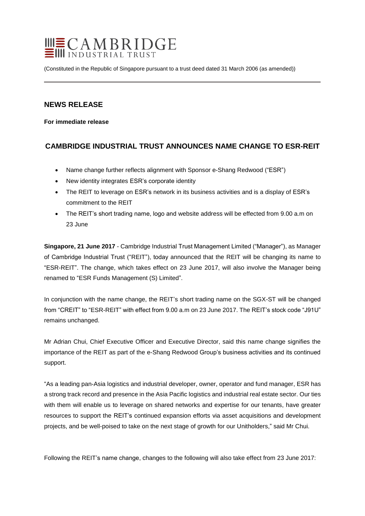

(Constituted in the Republic of Singapore pursuant to a trust deed dated 31 March 2006 (as amended))

## **NEWS RELEASE**

**For immediate release**

# **CAMBRIDGE INDUSTRIAL TRUST ANNOUNCES NAME CHANGE TO ESR-REIT**

- Name change further reflects alignment with Sponsor e-Shang Redwood ("ESR")
- New identity integrates ESR's corporate identity
- The REIT to leverage on ESR's network in its business activities and is a display of ESR's commitment to the REIT
- The REIT's short trading name, logo and website address will be effected from 9.00 a.m on 23 June

**Singapore, 21 June 2017** - Cambridge Industrial Trust Management Limited ("Manager"), as Manager of Cambridge Industrial Trust ("REIT"), today announced that the REIT will be changing its name to "ESR-REIT". The change, which takes effect on 23 June 2017, will also involve the Manager being renamed to "ESR Funds Management (S) Limited".

In conjunction with the name change, the REIT's short trading name on the SGX-ST will be changed from "CREIT" to "ESR-REIT" with effect from 9.00 a.m on 23 June 2017. The REIT's stock code "J91U" remains unchanged.

Mr Adrian Chui, Chief Executive Officer and Executive Director, said this name change signifies the importance of the REIT as part of the e-Shang Redwood Group's business activities and its continued support.

"As a leading pan-Asia logistics and industrial developer, owner, operator and fund manager, ESR has a strong track record and presence in the Asia Pacific logistics and industrial real estate sector. Our ties with them will enable us to leverage on shared networks and expertise for our tenants, have greater resources to support the REIT's continued expansion efforts via asset acquisitions and development projects, and be well-poised to take on the next stage of growth for our Unitholders," said Mr Chui.

Following the REIT's name change, changes to the following will also take effect from 23 June 2017: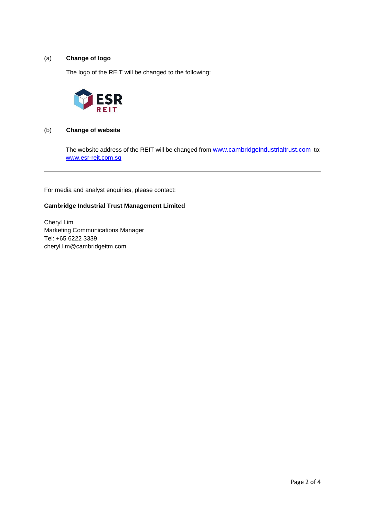## (a) **Change of logo**

The logo of the REIT will be changed to the following:



### (b) **Change of website**

The website address of the REIT will be changed from [www.cambridgeindustrialtrust.com](http://www.cambridgeindustrialtrust.com/) to: [www.esr-reit.com.sg](http://www.esr-reit.com.sg/)

For media and analyst enquiries, please contact:

## **Cambridge Industrial Trust Management Limited**

Cheryl Lim Marketing Communications Manager Tel: +65 6222 3339 cheryl.lim@cambridgeitm.com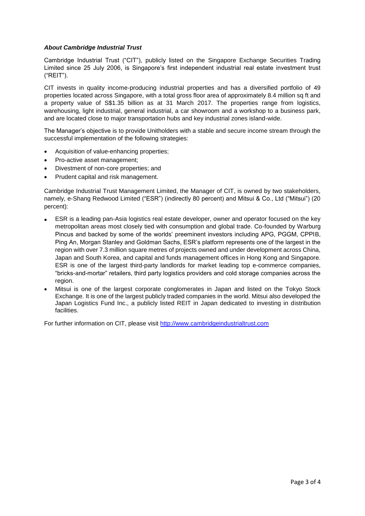### *About Cambridge Industrial Trust*

Cambridge Industrial Trust ("CIT"), publicly listed on the Singapore Exchange Securities Trading Limited since 25 July 2006, is Singapore's first independent industrial real estate investment trust ("REIT").

CIT invests in quality income-producing industrial properties and has a diversified portfolio of 49 properties located across Singapore, with a total gross floor area of approximately 8.4 million sq ft and a property value of S\$1.35 billion as at 31 March 2017. The properties range from logistics, warehousing, light industrial, general industrial, a car showroom and a workshop to a business park, and are located close to major transportation hubs and key industrial zones island-wide.

The Manager's objective is to provide Unitholders with a stable and secure income stream through the successful implementation of the following strategies:

- Acquisition of value-enhancing properties;
- Pro-active asset management;
- Divestment of non-core properties; and
- Prudent capital and risk management.

Cambridge Industrial Trust Management Limited, the Manager of CIT, is owned by two stakeholders, namely, e-Shang Redwood Limited ("ESR") (indirectly 80 percent) and Mitsui & Co., Ltd ("Mitsui") (20 percent):

- ESR is a leading pan-Asia logistics real estate developer, owner and operator focused on the key metropolitan areas most closely tied with consumption and global trade. Co-founded by Warburg Pincus and backed by some of the worlds' preeminent investors including APG, PGGM, CPPIB, Ping An, Morgan Stanley and Goldman Sachs, ESR's platform represents one of the largest in the region with over 7.3 million square metres of projects owned and under development across China, Japan and South Korea, and capital and funds management offices in Hong Kong and Singapore. ESR is one of the largest third-party landlords for market leading top e-commerce companies, "bricks-and-mortar" retailers, third party logistics providers and cold storage companies across the region.
- Mitsui is one of the largest corporate conglomerates in Japan and listed on the Tokyo Stock Exchange. It is one of the largest publicly traded companies in the world. Mitsui also developed the Japan Logistics Fund Inc., a publicly listed REIT in Japan dedicated to investing in distribution facilities.

For further information on CIT, please visit [http://www.cambridgeindustrialtrust.com](http://www.cambridgeindustrialtrust.com/)